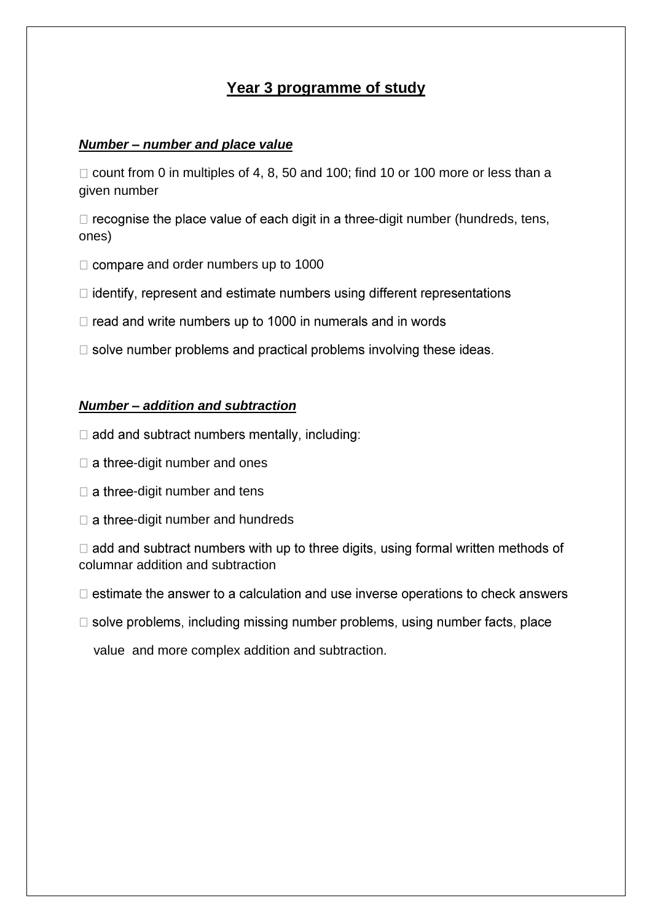# **Year 3 programme of study**

#### *Number – number and place value*

 $\Box$  count from 0 in multiples of 4, 8, 50 and 100; find 10 or 100 more or less than a given number

 $\Box$  recognise the place value of each digit in a three-digit number (hundreds, tens, ones)

- $\Box$  compare and order numbers up to 1000
- $\Box$  identify, represent and estimate numbers using different representations
- $\Box$  read and write numbers up to 1000 in numerals and in words
- $\Box$  solve number problems and practical problems involving these ideas.

### *Number – addition and subtraction*

- $\Box$  add and subtract numbers mentally, including:
- $\Box$  a three-digit number and ones
- $\Box$  a three-digit number and tens
- $\Box$  a three-digit number and hundreds

 $\Box$  add and subtract numbers with up to three digits, using formal written methods of columnar addition and subtraction

- $\Box$  estimate the answer to a calculation and use inverse operations to check answers
- $\Box$  solve problems, including missing number problems, using number facts, place

value and more complex addition and subtraction.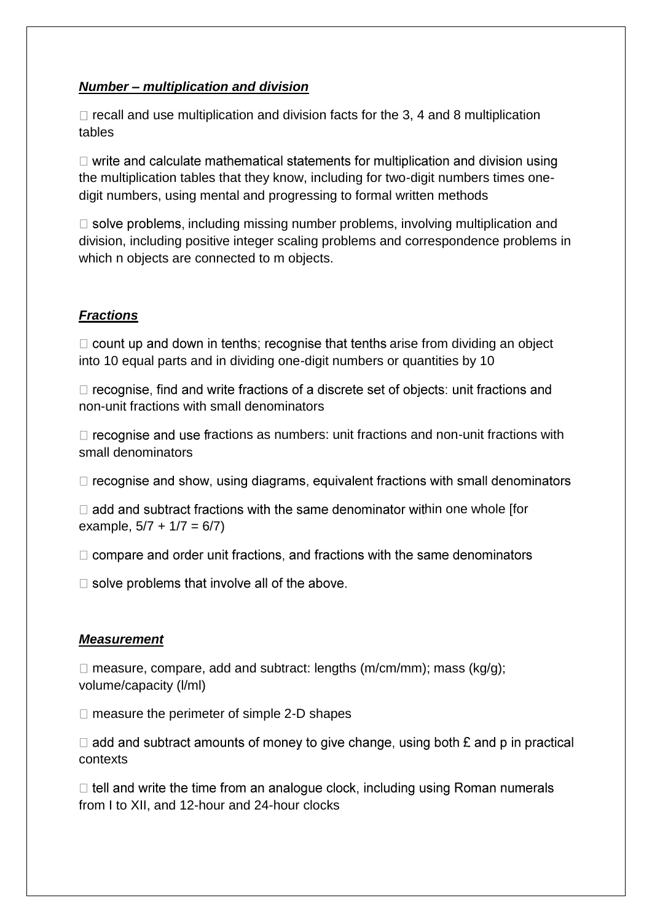## *Number – multiplication and division*

 $\Box$  recall and use multiplication and division facts for the 3, 4 and 8 multiplication tables

 $\Box$  write and calculate mathematical statements for multiplication and division using the multiplication tables that they know, including for two-digit numbers times onedigit numbers, using mental and progressing to formal written methods

 $\Box$  solve problems, including missing number problems, involving multiplication and division, including positive integer scaling problems and correspondence problems in which n objects are connected to m objects.

# *Fractions*

 $\Box$  count up and down in tenths; recognise that tenths arise from dividing an object into 10 equal parts and in dividing one-digit numbers or quantities by 10

 $\Box$  recognise, find and write fractions of a discrete set of objects: unit fractions and non-unit fractions with small denominators

 $\Box$  recognise and use fractions as numbers: unit fractions and non-unit fractions with small denominators

 $\Box$  recognise and show, using diagrams, equivalent fractions with small denominators

 $\Box$  add and subtract fractions with the same denominator within one whole [for example,  $5/7 + 1/7 = 6/7$ )

 $\Box$  compare and order unit fractions, and fractions with the same denominators

 $\Box$  solve problems that involve all of the above.

### *Measurement*

 $\Box$  measure, compare, add and subtract: lengths (m/cm/mm); mass (kq/q); volume/capacity (l/ml)

 $\Box$  measure the perimeter of simple 2-D shapes

 $\Box$  add and subtract amounts of money to give change, using both  $\mathbf E$  and p in practical contexts

 $\Box$  tell and write the time from an analogue clock, including using Roman numerals from I to XII, and 12-hour and 24-hour clocks